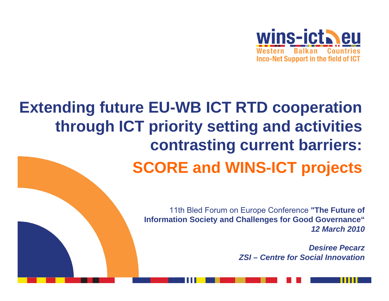

## **Extending future EU-WB ICT RTD cooperation through ICT priority setting and activities contrasting current barriers: SCORE and WINS-ICT projects**

11th Bled Forum on Europe Conference **"The Future of Information Society and Challenges for Good Governance"** *12 March 2010*

> *Desiree PecarzZSI – Centre for Social Innovation*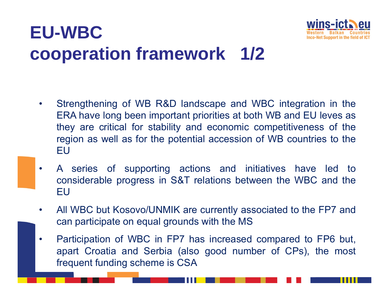# **EU-WBCcooperation framework 1/2**



- • Strengthening of WB R&D landscape and WBC integration in the ERA have long been important priorities at both WB and EU leves as they are critical for stability and economic competitiveness of the region as well as for the potential accession of WB countries to the EU
- • A series of supporting actions and initiatives have led to considerable progress in S&T relations between the WBC and the EU
- • All WBC but Kosovo/UNMIK are currently associated to the FP7 and can participate on equal grounds with the MS
- $\bullet$  Participation of WBC in FP7 has increased compared to FP6 but, apart Croatia and Serbia (also good number of CPs), the most frequent funding scheme is CSA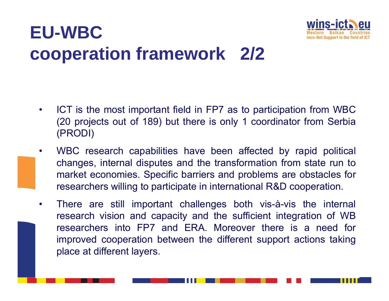# **EU-WBCcooperation framework 2/2**



- $\bullet$  ICT is the most important field in FP7 as to participation from WBC (20 projects out of 189) but there is only 1 coordinator from Serbia (PRODI)
- $\bullet$  WBC research capabilities have been affected by rapid political changes, internal disputes and the transformation from state run to market economies. Specific barriers and problems are obstacles for researchers willing to participate in international R&D cooperation.
- $\bullet$  There are still important challenges both vis-à-vis the internal research vision and capacity and the sufficient integration of WB researchers into FP7 and ERA. Moreover there is a need forimproved cooperation between the different support actions taking place at different layers.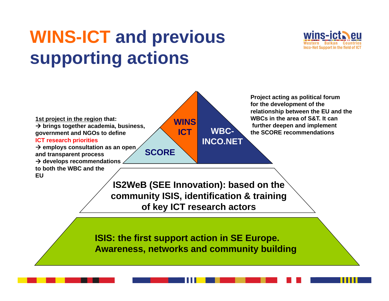# **WINS-ICT and previous supporting actions**





**T IS2WeB (SEE Innovation): based on the community ISIS, identification & training of key ICT research actors**

**ISIS: the first support action in SE Europe. Awareness, networks and community building**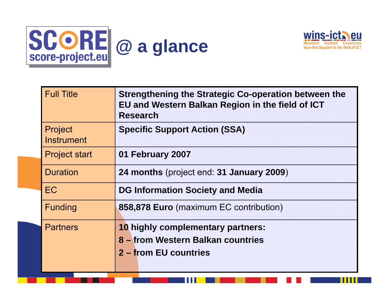



Ш

| <b>Full Title</b>            | Strengthening the Strategic Co-operation between the<br>EU and Western Balkan Region in the field of ICT<br><b>Research</b> |
|------------------------------|-----------------------------------------------------------------------------------------------------------------------------|
| Project<br><b>Instrument</b> | <b>Specific Support Action (SSA)</b>                                                                                        |
| <b>Project start</b>         | 01 February 2007                                                                                                            |
| <b>Duration</b>              | 24 months (project end: 31 January 2009)                                                                                    |
| EC                           | <b>DG Information Society and Media</b>                                                                                     |
| <b>Funding</b>               | 858,878 Euro (maximum EC contribution)                                                                                      |
| <b>Partners</b>              | 10 highly complementary partners:<br>8 – from Western Balkan countries<br>2 – from EU countries                             |

11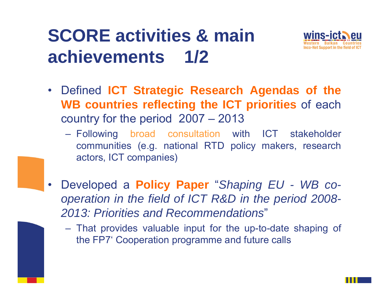# **SCORE activities & main achievements 1/2**



- Defined **ICT Strategic Research Agendas of the WB countries reflecting the ICT priorities** of each country for the period 2007 – 2013
	- Following broad consultation with ICT stakeholder communities (e.g. national RTD policy makers, research actors, ICT companies)
- $\bullet$  Developed <sup>a</sup> **Policy Paper** "*Shaping EU - WB cooperation in the field of ICT R&D in the period 2008- 2013: Priorities and Recommendations*"
	- That provides valuable input for the up-to-date shaping of the FP7' Cooperation programme and future calls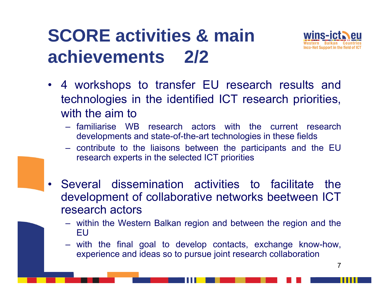# **SCORE activities & main achievements 2/2**



- 4 workshops to transfer EU research results and technologies in the identified ICT research priorities, with the aim to
	- familiarise WB research actors with the current research developments and state-of-the-art technologies in these fields
	- contribute to the liaisons between the participants and the EU research experts in the selected ICT priorities
- Several dissemination activities to facilitate thedevelopment of collaborative networks beetween ICT research actors
	- within the Western Balkan region and between the region and the EU
	- with the final goal to develop contacts, exchange know-how, experience and ideas so to pursue joint research collaboration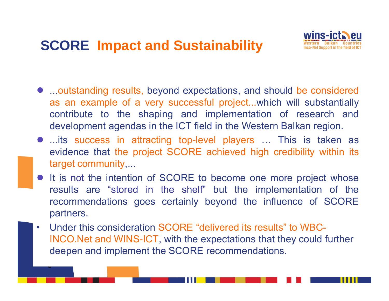#### **SCORE Impact and Sustainability**

J



- ...outstanding results, beyond expectations, and should be considered as an example of <sup>a</sup> very successful project...which will substantially contribute to the shaping and implementation of research and development agendas in the ICT field in the Western Balkan region.
- ...its success in attracting top-level players ... This is taken as evidence that the project SCORE achieved high credibility within its target community,...
- It is not the intention of SCORE to become one more project whose results are "stored in the shelf" but the implementation of the recommendations goes certainly beyond the influence of SCORE partners.
- • Under this consideration SCORE "delivered its results" to WBC-INCO.Net and WINS-ICT, with the expectations that they could further deepen and implement the SCORE recommendations.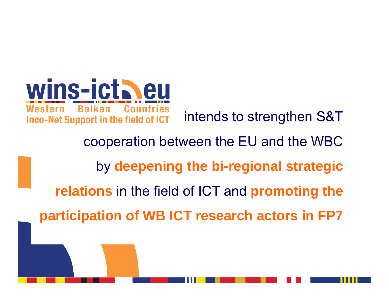wins-ictheu **Countries** Western **Ralkan** intends to strengthen S&T **Inco-Net Support in the field of ICT** 

cooperation between the EU and the WBC by **deepening the bi-regional strategic relations** in the field of ICT and **promoting the**

**participation of WB ICT research actors in FP7**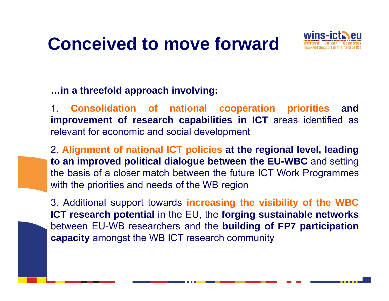# **Conceived to move forward**



**…in <sup>a</sup> threefold approach involving:**

1. **Consolidation of national cooperation priorities and improvement of research capabilities in ICT** areas identified as relevant for economic and social development

2. **Alignment of national ICT policies at the regional level, leading to an improved political dialogue between the EU-WBC** and setting the basis of <sup>a</sup> closer match between the future ICT Work Programmes with the priorities and needs of the WB region

3. Additional support towards **increasing the visibility of the WBC ICT research potential** in the EU, the **forging sustainable networks** between EU-WB researchers and the **building of FP7 participation capacity** amongst the WB ICT research community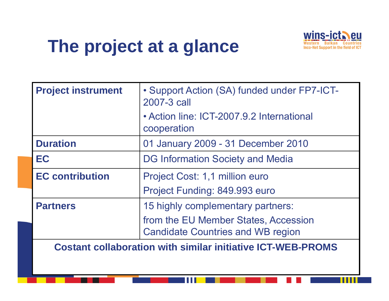# **The project at a glance**



Ш

| <b>Project instrument</b> | • Support Action (SA) funded under FP7-ICT-<br>2007-3 call                       |
|---------------------------|----------------------------------------------------------------------------------|
|                           | • Action line: ICT-2007.9.2 International<br>cooperation                         |
| <b>Duration</b>           | 01 January 2009 - 31 December 2010                                               |
| EC                        | <b>DG Information Society and Media</b>                                          |
| <b>EC contribution</b>    | Project Cost: 1,1 million euro                                                   |
|                           | Project Funding: 849.993 euro                                                    |
| <b>Partners</b>           | 15 highly complementary partners:                                                |
|                           | from the EU Member States, Accession<br><b>Candidate Countries and WB region</b> |
|                           | <b>Costant collaboration with similar initiative ICT-WEB-PROMS</b>               |
|                           |                                                                                  |

h a a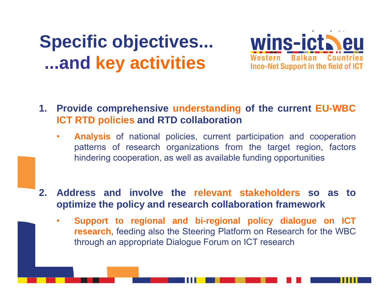# **Specific objectives... ...and key activities**



- **1. Provide comprehensive understanding of the current EU-WBC ICT RTD policies and RTD collaboration**
	- $\bullet$  **Analysis** of national policies, current participation and cooperation patterns of research organizations from the target region, factors hindering cooperation, as well as available funding opportunities
- **2. Address and involve the relevant stakeholders so as to optimize the policy and research collaboration framework**
	- • **Support to regional and bi-regional policy dialogue on ICT research**, feeding also the Steering Platform on Research for the WBC through an appropriate Dialogue Forum on ICT research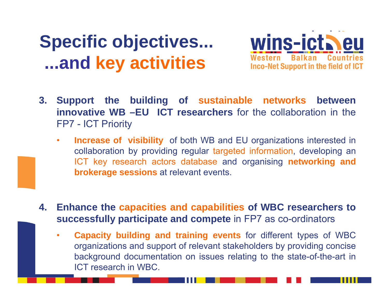# **Specific objectives... ...and key activities**



- **3. Support the building of sustainable networks between innovative WB –EU ICT researchers** for the collaboration in the FP7 - ICT Priority
	- $\bullet$ **Increase of visibility** of both WB and EU organizations interested in collaboration by providing regular targeted information, developing an ICT key research actors database and organising **networking and brokerage sessions** at relevant events.
- **4. Enhance the capacities and capabilities of WBC researchers to successfully participate and compete** in FP7 as co-ordinators
	- • **Capacity building and training events** for different types of WBC organizations and support of relevant stakeholders by providing concise background documentation on issues relating to the state-of-the-art in ICT research in WBC.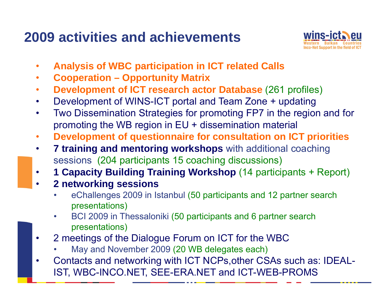#### **2009 activities and achievements**



- •**Analysis of WBC participation in ICT related Calls**
- •**Cooperation – Opportunity Matrix**
- •**Development of ICT research actor Database** (261 profiles)
- •Development of WINS-ICT portal and Team Zone + updating
- • Two Dissemination Strategies for promoting FP7 in the region and for promoting the WB region in EU + dissemination material
- •**Development of questionnaire for consultation on ICT priorities**
- • **7 training and mentoring workshops** with additional coaching sessions (204 participants 15 coaching discussions)
- •**1 Capacity Building Training Workshop** (14 participants + Report)
- • **2 networking sessions**
	- • eChallenges 2009 in Istanbul (50 participants and 12 partner search presentations)
	- • BCI 2009 in Thessaloniki (50 participants and 6 partner search presentations)
- • 2 meetings of the Dialogue Forum on ICT for the WBC
	- •May and November 2009 (20 WB delegates each)
- • Contacts and networking with ICT NCPs,other CSAs such as: IDEAL-IST, WBC-INCO.NET, SEE-ERA.NET and ICT-WEB-PROMS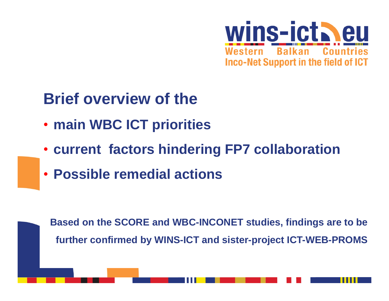

#### **Brief overview of the**

- **main WBC ICT priorities**
- **current factors hindering FP7 collaboration**
- **Possible remedial actions**

**Based on the SCORE and WBC-INCONET studies, findings are to be further confirmed by WINS-ICT and sister-project ICT-WEB-PROMS**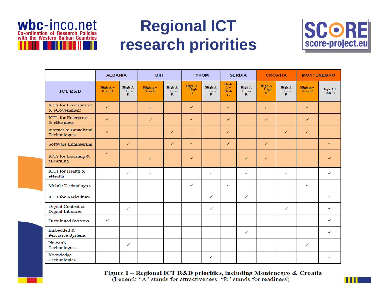

#### **Regional ICT research priorities**



Ш

|                                               | <b>ALBANIA</b>       |                                            | <b>BiH</b>         |                                   | <b>FYROM</b>                       |                                   |                                       | <b>SERBIA</b>                     |                                             | <b>CROATIA</b>                             | <b>MONTENEGRO</b>    |                  |  |  |
|-----------------------------------------------|----------------------|--------------------------------------------|--------------------|-----------------------------------|------------------------------------|-----------------------------------|---------------------------------------|-----------------------------------|---------------------------------------------|--------------------------------------------|----------------------|------------------|--|--|
| <b>ICT R&amp;D</b>                            | High $A +$<br>High R | High A<br>$+ \tilde{L}$ ow<br>$\mathbf{R}$ | High A +<br>High R | High A<br>$+$ Low<br>$\mathbb{R}$ | High A<br>$+$ High<br>$\mathbb{R}$ | High A<br>$+$ Low<br>$\mathbf{R}$ | High<br>$A +$<br>High<br>$\mathbb{R}$ | High A<br>$+$ Low<br>$\mathbb{R}$ | High A<br>$+ \tilde{H}$ igh<br>$\mathbb{R}$ | High A<br>$+ \tilde{L}$ ow<br>$\mathbb{R}$ | High $A +$<br>High R | High A+<br>Low R |  |  |
| <b>ICTs for Government</b><br>& eGovernment   | ✓                    |                                            | $\checkmark$       |                                   | ✓                                  |                                   | $\checkmark$                          |                                   | ✓                                           |                                            | ✓                    |                  |  |  |
| <b>ICTs for Enterprises</b><br>& eBusiness    | ✓                    |                                            | ✓                  |                                   | ✓                                  |                                   | ✓                                     |                                   | ✓                                           |                                            | ✓                    |                  |  |  |
| Internet & Broadband<br>Technologies          | $\checkmark$         |                                            |                    | ✓                                 | ✓                                  |                                   | ✓                                     |                                   |                                             | ✓                                          | ✓                    |                  |  |  |
| <b>Software Engineering</b>                   |                      | ✓                                          |                    | ✓                                 | ✓                                  |                                   | ✓                                     |                                   | ✓                                           |                                            |                      | ✓                |  |  |
| ICTs for Learning &<br>eLearning              | $\checkmark$         |                                            | ✓                  |                                   | ✓                                  |                                   |                                       | $\sqrt{}$                         | ✓                                           |                                            |                      |                  |  |  |
| ICTs for Health &<br>eHealth                  |                      | ✓                                          | ✓                  |                                   |                                    | ✓                                 |                                       | ✓                                 |                                             | ✓                                          |                      | ✓                |  |  |
| <b>Mobile Technologies</b>                    |                      |                                            |                    |                                   | ✓                                  |                                   | ✓                                     |                                   |                                             |                                            | ✓                    |                  |  |  |
| <b>ICTs</b> for Agriculture                   |                      |                                            |                    |                                   |                                    | ✓                                 |                                       | ✓                                 |                                             |                                            |                      | ✓                |  |  |
| Digital Content &<br><b>Digital Libraries</b> |                      | ✓                                          |                    |                                   |                                    | ✓                                 |                                       |                                   |                                             | ✓                                          |                      | ✓                |  |  |
| Distributed Systems                           | ✓                    |                                            |                    |                                   |                                    |                                   |                                       |                                   |                                             |                                            |                      | ✓                |  |  |
| Embedded &<br>Pervasive Systems               |                      |                                            |                    |                                   |                                    |                                   |                                       | ✓                                 |                                             |                                            |                      | ✓                |  |  |
| <b>Network</b><br>Technologies                |                      | ✓                                          |                    |                                   |                                    |                                   |                                       |                                   |                                             |                                            | ✓                    |                  |  |  |
| Knowledge<br>Technologies                     |                      |                                            |                    |                                   |                                    | ✓                                 |                                       |                                   |                                             |                                            |                      | ✓                |  |  |

Figure 1 - Regional ICT R&D priorities, including Montenegro & Croatia (Legend: "A" stands for attractiveness, "R" stands for readiness)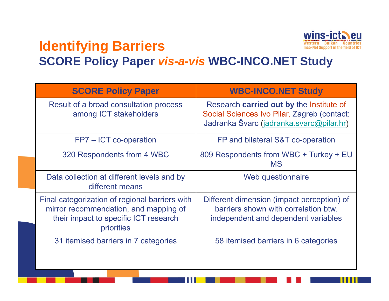

. . .

#### **Identifying Barriers SCORE Policy Paper** *vis-a-vis* **WBC-INCO.NET Study**

| <b>SCORE Policy Paper</b>                                                                                                                      | <b>WBC-INCO.NET Study</b>                                                                                                           |
|------------------------------------------------------------------------------------------------------------------------------------------------|-------------------------------------------------------------------------------------------------------------------------------------|
| Result of a broad consultation process<br>among ICT stakeholders                                                                               | Research carried out by the Institute of<br>Social Sciences Ivo Pilar, Zagreb (contact:<br>Jadranka Švarc (jadranka.svarc@pilar.hr) |
| FP7 – ICT co-operation                                                                                                                         | FP and bilateral S&T co-operation                                                                                                   |
| 320 Respondents from 4 WBC                                                                                                                     | 809 Respondents from WBC + Turkey + EU<br><b>MS</b>                                                                                 |
| Data collection at different levels and by<br>different means                                                                                  | Web questionnaire                                                                                                                   |
| Final categorization of regional barriers with<br>mirror recommendation, and mapping of<br>their impact to specific ICT research<br>priorities | Different dimension (impact perception) of<br>barriers shown with correlation btw.<br>independent and dependent variables           |
| 31 itemised barriers in 7 categories                                                                                                           | 58 itemised barriers in 6 categories                                                                                                |

11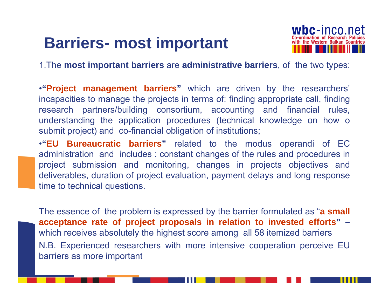### **Barriers- most important**



1.The **most important barriers** are **administrative barriers**, of the two types:

•**"Project management barriers "** which are driven by the researchers' incapacities to manage the projects in terms of: finding appropriate call, finding research partners/building consortium, accounting and financial rules, understanding the application procedures (technical knowledge on how <sup>o</sup> submit project) and co-financial obligation of institutions;

•**"EU Bureaucratic barriers "** related to the modus operandi of EC administration and includes : constant changes of the rules and procedures in project submission and monitoring, changes in projects objectives and deliverables, duration of project evaluation, payment delays and long response time to technical questions.

The essence of the problem is expressed by the barrier formulated as "**<sup>a</sup> small acceptance rate of project proposals in relation to invested efforts" –** which receives absolutely the highest score among all 58 itemized barriers N.B. Experienced researchers with more intensive cooperation perceive EU barriers as more important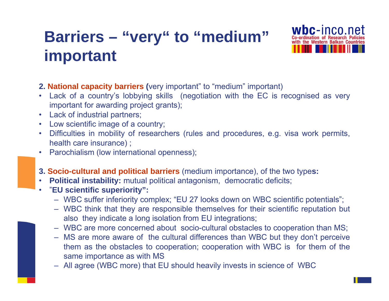#### **Barriers – "very" to "medium" important**



- **2. National capacity barriers (**very important" to "medium" important)
- • Lack of <sup>a</sup> country's lobbying skills (negotiation with the EC is recognised as very important for awarding project grants);
- •Lack of industrial partners;
- •Low scientific image of <sup>a</sup> country;
- • Difficulties in mobility of researchers (rules and procedures, e.g. visa work permits, health care insurance) ;
- •Parochialism (low international openness);
- **3. Socio-cultural and political barriers** (medium importance), of the two type**s:**
- •**Political instability:** mutual political antagonism, democratic deficits;
- • "**EU scientific superiority":**
	- WBC suffer inferiority complex; "EU 27 looks down on WBC scientific potentials";
	- WBC think that they are responsible themselves for their scientific reputation but also they indicate <sup>a</sup> long isolation from EU integrations;
	- WBC are more concerned about socio-cultural obstacles to cooperation than MS;
	- MS are more aware of the cultural differences than WBC but they don't perceive them as the obstacles to cooperation; cooperation with WBC is for them of the same importance as with MS
	- All agree (WBC more) that EU should heavily invests in science of WBC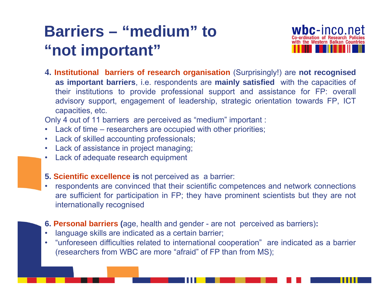#### **Barriers – "medium" to "not important"**



**4. Institutional barriers of research organisation** (Surprisingly!) are **not recognised as important barriers**, i.e. respondents are **mainly satisfied** with the capacities of their institutions to provide professional support and assistance for FP: overall advisory support, engagement of leadership, strategic orientation towards FP, ICT capacities, etc.

Only 4 out of 11 barriers are perceived as "medium" important :

- •Lack of time – researchers are occupied with other priorities;
- $\bullet$ Lack of skilled accounting professionals;
- •Lack of assistance in project managing;
- •Lack of adequate research equipment
- **5. Scientific excellence is** not perceived as <sup>a</sup> barrier:
- • respondents are convinced that their scientific competences and network connections are sufficient for participation in FP; they have prominent scientists but they are not internationally recognised
- **6. Personal barriers (**age, health and gender are not perceived as barriers)**:**
- •language skills are indicated as <sup>a</sup> certain barrier;
- • "unforeseen difficulties related to international cooperation" are indicated as <sup>a</sup> barrier (researchers from WBC are more "afraid" of FP than from MS);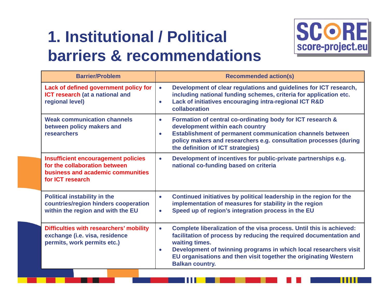## **1. Institutional / Political barriers & recommendations**



| <b>Barrier/Problem</b>                                                                                                               | <b>Recommended action(s)</b>                                                                                                                                                                                                                                                                                                                              |
|--------------------------------------------------------------------------------------------------------------------------------------|-----------------------------------------------------------------------------------------------------------------------------------------------------------------------------------------------------------------------------------------------------------------------------------------------------------------------------------------------------------|
| Lack of defined government policy for<br><b>ICT research (at a national and</b><br>regional level)                                   | Development of clear regulations and guidelines for ICT research,<br>$\bullet$<br>including national funding schemes, criteria for application etc.<br>Lack of initiatives encouraging intra-regional ICT R&D<br>$\bullet$<br>collaboration                                                                                                               |
| <b>Weak communication channels</b><br>between policy makers and<br><b>researchers</b>                                                | Formation of central co-ordinating body for ICT research &<br>$\bullet$<br>development within each country<br><b>Establishment of permanent communication channels between</b><br>$\bullet$<br>policy makers and researchers e.g. consultation processes (during<br>the definition of ICT strategies)                                                     |
| <b>Insufficient encouragement policies</b><br>for the collaboration between<br>business and academic communities<br>for ICT research | Development of incentives for public-private partnerships e.g.<br>$\bullet$<br>national co-funding based on criteria                                                                                                                                                                                                                                      |
| <b>Political instability in the</b><br>countries/region hinders cooperation<br>within the region and with the EU                     | Continued initiatives by political leadership in the region for the<br>$\bullet$<br>implementation of measures for stability in the region<br>Speed up of region's integration process in the EU<br>$\bullet$                                                                                                                                             |
| <b>Difficulties with researchers' mobility</b><br>exchange (i.e. visa, residence<br>permits, work permits etc.)                      | Complete liberalization of the visa process. Until this is achieved:<br>$\bullet$<br>facilitation of process by reducing the required documentation and<br>waiting times.<br>Development of twinning programs in which local researchers visit<br>$\bullet$<br>EU organisations and then visit together the originating Western<br><b>Balkan country.</b> |

SI SI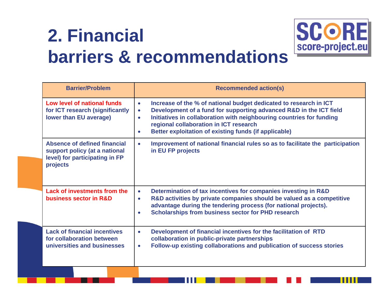# **2. Financial barriers & recommendations**



**SCORE** 

score-project.eu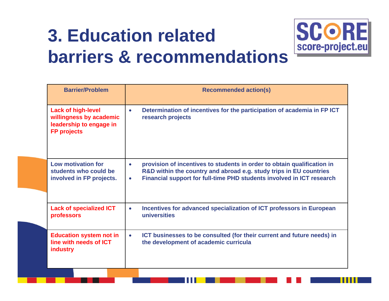# **3. Education related barriers & recommendations**



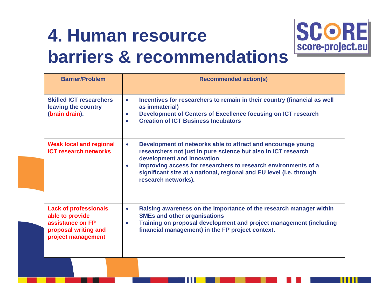# **4. Human resource barriers & recommendations**



| <b>Barrier/Problem</b>                                                                                            | <b>Recommended action(s)</b>                                                                                                                                                                                                                                                                                                                         |
|-------------------------------------------------------------------------------------------------------------------|------------------------------------------------------------------------------------------------------------------------------------------------------------------------------------------------------------------------------------------------------------------------------------------------------------------------------------------------------|
| <b>Skilled ICT researchers</b><br>leaving the country<br>(brain drain).                                           | Incentives for researchers to remain in their country (financial as well<br>$\bullet$<br>as immaterial)<br>Development of Centers of Excellence focusing on ICT research<br>$\bullet$<br><b>Creation of ICT Business Incubators</b><br>$\bullet$                                                                                                     |
| <b>Weak local and regional</b><br><b>ICT research networks</b>                                                    | Development of networks able to attract and encourage young<br>$\bullet$<br>researchers not just in pure science but also in ICT research<br>development and innovation<br>Improving access for researchers to research environments of a<br>$\bullet$<br>significant size at a national, regional and EU level (i.e. through<br>research networks). |
| <b>Lack of professionals</b><br>able to provide<br>assistance on FP<br>proposal writing and<br>project management | Raising awareness on the importance of the research manager within<br>$\bullet$<br><b>SMEs and other organisations</b><br>Training on proposal development and project management (including<br>$\bullet$<br>financial management) in the FP project context.                                                                                        |

i i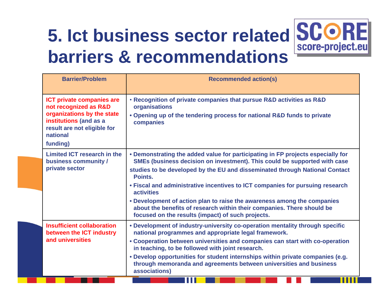# **5. Ict business sector related barriers & recommendations**



Ш

| <b>Barrier/Problem</b>                                                                                                                                                   | <b>Recommended action(s)</b>                                                                                                                                                                                                                                                                                                                                                                                                                                                                                                                                           |
|--------------------------------------------------------------------------------------------------------------------------------------------------------------------------|------------------------------------------------------------------------------------------------------------------------------------------------------------------------------------------------------------------------------------------------------------------------------------------------------------------------------------------------------------------------------------------------------------------------------------------------------------------------------------------------------------------------------------------------------------------------|
| <b>ICT private companies are</b><br>not recognized as R&D<br>organizations by the state<br>institutions (and as a<br>result are not eligible for<br>national<br>funding) | . Recognition of private companies that pursue R&D activities as R&D<br>organisations<br>. Opening up of the tendering process for national R&D funds to private<br>companies                                                                                                                                                                                                                                                                                                                                                                                          |
| Limited ICT research in the<br>business community /<br>private sector                                                                                                    | • Demonstrating the added value for participating in FP projects especially for<br>SMEs (business decision on investment). This could be supported with case<br>studies to be developed by the EU and disseminated through National Contact<br>Points.<br>• Fiscal and administrative incentives to ICT companies for pursuing research<br><b>activities</b><br>• Development of action plan to raise the awareness among the companies<br>about the benefits of research within their companies. There should be<br>focused on the results (impact) of such projects. |
| <b>Insufficient collaboration</b><br>between the ICT industry<br>and universities                                                                                        | • Development of industry-university co-operation mentality through specific<br>national programmes and appropriate legal framework.<br>• Cooperation between universities and companies can start with co-operation<br>in teaching, to be followed with joint research.<br>. Develop opportunities for student internships within private companies (e.g.<br>through memoranda and agreements between universities and business<br>associations)                                                                                                                      |

H 1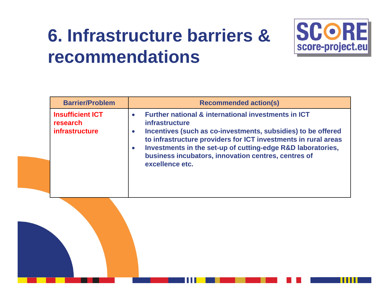# **6. Infrastructure barriers & recommendations**



| <b>Barrier/Problem</b>                                | <b>Recommended action(s)</b>                                                                                                                                                                                                                                                                                                                                                                              |
|-------------------------------------------------------|-----------------------------------------------------------------------------------------------------------------------------------------------------------------------------------------------------------------------------------------------------------------------------------------------------------------------------------------------------------------------------------------------------------|
| <b>Insufficient ICT</b><br>research<br>infrastructure | <b>Further national &amp; international investments in ICT</b><br>$\bullet$<br><i>infrastructure</i><br>Incentives (such as co-investments, subsidies) to be offered<br>$\bullet$<br>to infrastructure providers for ICT investments in rural areas<br>Investments in the set-up of cutting-edge R&D laboratories,<br>$\bullet$<br>business incubators, innovation centres, centres of<br>excellence etc. |

SI SI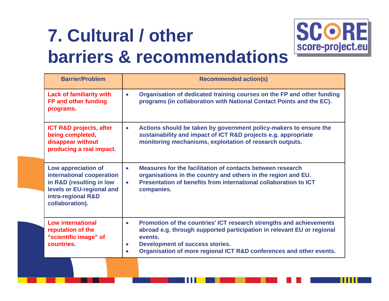# **7. Cultural / other barriers & recommendations**



| <b>Barrier/Problem</b>                                                                                                                             | <b>Recommended action(s)</b>                                                                                                                                                                                                                                                                                     |
|----------------------------------------------------------------------------------------------------------------------------------------------------|------------------------------------------------------------------------------------------------------------------------------------------------------------------------------------------------------------------------------------------------------------------------------------------------------------------|
| <b>Lack of familiarity with</b><br>FP and other funding<br>programs.                                                                               | Organisation of dedicated training courses on the FP and other funding<br>$\bullet$<br>programs (in collaboration with National Contact Points and the EC).                                                                                                                                                      |
| <b>ICT R&amp;D projects, after</b><br>being completed,<br>disappear without<br>producing a real impact.                                            | Actions should be taken by government policy-makers to ensure the<br>$\bullet$<br>sustainability and impact of ICT R&D projects e.g. appropriate<br>monitoring mechanisms, exploitation of research outputs.                                                                                                     |
| Low appreciation of<br>international cooperation<br>in R&D (resulting in low<br>levels or EU-regional and<br>intra-regional R&D<br>collaboration). | Measures for the facilitation of contacts between research<br>$\bullet$<br>organisations in the country and others in the region and EU.<br>Presentation of benefits from international collaboration to ICT<br>companies.                                                                                       |
| <b>Low international</b><br>reputation of the<br>"scientific image" of<br>countries.                                                               | Promotion of the countries' ICT research strengths and achievements<br>$\bullet$<br>abroad e.g. through supported participation in relevant EU or regional<br>events.<br><b>Development of success stories.</b><br>$\bullet$<br>Organisation of more regional ICT R&D conferences and other events.<br>$\bullet$ |

i i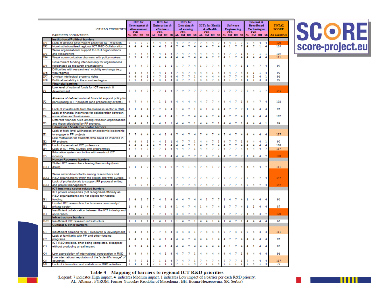|                 |                                                                                                                    | <b>ICT</b> for              |                | <b>ICTs</b> for                              |        |        | <b>ICTs</b> for         |                |                |                                     |                       |                     |                  |                                       |            |                     |                     |                                         |                     | <b>Internet &amp;</b> |                     |                              |             |              |                |               |
|-----------------|--------------------------------------------------------------------------------------------------------------------|-----------------------------|----------------|----------------------------------------------|--------|--------|-------------------------|----------------|----------------|-------------------------------------|-----------------------|---------------------|------------------|---------------------------------------|------------|---------------------|---------------------|-----------------------------------------|---------------------|-----------------------|---------------------|------------------------------|-------------|--------------|----------------|---------------|
|                 | <b>ICT R&amp;D PRIORITIES</b>                                                                                      | Government &<br>eGovernment |                | <b>Enterprises &amp;</b><br><b>eBusiness</b> |        |        | Learning &<br>eLearning |                |                | <b>ICTs</b> for Health<br>& eHealth |                       |                     |                  | <b>Software</b><br><b>Engineering</b> |            |                     |                     | <b>Broadband</b><br><b>Technologies</b> |                     |                       |                     | <b>TOTAL</b><br><b>SCORE</b> |             |              |                |               |
|                 |                                                                                                                    |                             | <b>FYR</b>     |                                              |        |        | <b>FYR</b>              |                |                |                                     | <b>FYR</b>            |                     |                  |                                       | <b>FVR</b> |                     |                     |                                         | FVR                 |                       |                     |                              | <b>FYR</b>  |              |                |               |
|                 | <b>BARRIERS / COUNTRIES</b>                                                                                        |                             |                | AL OM BH SR                                  |        |        |                         | AL OM BH SR    |                |                                     | AL OM BH SR           |                     |                  |                                       |            | AL OM BH SR         |                     |                                         |                     | AL OM BH SE           |                     |                              | AL OM BH SR |              |                | All countries |
|                 | <b>Institutional/Political barriers</b>                                                                            |                             | 7              |                                              |        |        |                         | 4              |                |                                     |                       |                     |                  |                                       |            |                     |                     |                                         |                     |                       |                     |                              |             |              |                | 120           |
| ופו<br>IP2      | Lack of defined government policy for ICT research<br>Non-institutionalised regional ICT R&D Collaboration         | 4                           | 4              | 7<br>4                                       | 7<br>4 | 4      |                         | ı              | 4              |                                     | 7<br>$\boldsymbol{A}$ | 7<br>7              | 7<br>4           |                                       | 4          | 4<br>7              | 4                   |                                         | 4<br>ı              | ı<br>7                | 7<br>$\overline{7}$ | 4                            | 4<br>7      | 4<br>ı       | 4<br>4         | 105           |
|                 | Weak organisational support to R&D organisations                                                                   |                             |                |                                              |        |        |                         |                |                |                                     |                       |                     |                  |                                       |            |                     |                     |                                         |                     |                       |                     |                              |             |              |                |               |
| IP3             | and researchers                                                                                                    | 7                           | 7              | 4                                            | 4      | 4      |                         | 1              | 4              | 7                                   | 4                     | 7                   | 4                | 4                                     | 4          | 4                   | 4                   | 4                                       | 7                   |                       | 1                   | 4                            |             | 1            | 1              | 105           |
| IP4             | Weak communication channels with policy makers                                                                     | 7                           | $\overline{7}$ | 4                                            | 7      | n      |                         |                |                | 4                                   | Δ                     | 7                   | $\boldsymbol{4}$ | 4                                     | 4          | 7                   | 7                   | 4                                       | ı                   |                       |                     |                              |             |              | 4              | 111           |
|                 | Government funding intended only for organizations                                                                 |                             |                |                                              |        |        |                         |                |                |                                     |                       |                     |                  |                                       |            |                     |                     |                                         |                     |                       |                     |                              |             |              |                |               |
| IP5             | recognized as research organizations                                                                               | 1                           | 7              |                                              |        |        |                         |                |                |                                     |                       |                     |                  |                                       |            |                     |                     |                                         |                     |                       |                     |                              |             |              |                | 99            |
|                 | Difficulties with researchers' mobility exchange (e.g.                                                             |                             |                |                                              |        |        |                         |                |                |                                     |                       |                     |                  |                                       |            |                     |                     |                                         |                     |                       |                     |                              |             |              |                |               |
| IP6<br>IP7      | visa regime)<br>Unclear intellectual property rights                                                               | 1<br>4                      | 4<br>4         | 4<br>4                                       | 4<br>1 | 4<br>4 | 4<br>7                  | п<br>1         | 4              | 4                                   | 7                     | 7<br>7              | 4<br>1           | 4<br>4                                | 4<br>4     | ٦<br>4              | 4<br>4              | 4<br>4                                  | 4<br>7              | 7                     | 4                   | 4                            |             |              | 1              | 90<br>96      |
| IP <sub>8</sub> | Political instability in the countries/region                                                                      | 7                           | 7              | 4                                            | 7      | n      | 4                       | 1              | 4              | 4                                   | 7                     | $\overline{7}$      | 1                | 4                                     | 4          | 7                   | 4                   | 4                                       | 1                   | 7                     | 4                   | ı                            | ı           |              |                | 99            |
|                 | <b>Financial barriers</b>                                                                                          |                             |                |                                              |        |        |                         |                |                |                                     |                       |                     |                  |                                       |            |                     |                     |                                         |                     |                       |                     |                              |             |              |                |               |
|                 | Low level of national funds for ICT research &                                                                     |                             |                |                                              |        |        |                         |                |                |                                     |                       |                     |                  |                                       |            |                     |                     |                                         |                     |                       |                     |                              |             |              |                |               |
| F1              | development                                                                                                        | 7                           | 7              | 4                                            | 7      | 4      | 7                       | n              | $\overline{4}$ | 7                                   | $\overline{7}$        | 7                   | -7               | 7                                     | 4          | 7                   | 7                   | 7                                       | $\overline{7}$      | 7                     | 7                   | 7                            | Δ           | 1            | 7              | 141           |
|                 |                                                                                                                    |                             |                |                                              |        |        |                         |                |                |                                     |                       |                     |                  |                                       |            |                     |                     |                                         |                     |                       |                     |                              |             |              |                |               |
| F2              | Absence of defined national financial support policy for<br>participating in FP projects (and preparatory events). | 4                           | 7              |                                              |        |        |                         |                |                |                                     |                       |                     |                  |                                       |            |                     |                     |                                         |                     |                       |                     |                              |             |              |                | 102           |
|                 |                                                                                                                    |                             |                |                                              |        |        |                         |                |                |                                     |                       |                     |                  |                                       |            |                     |                     |                                         |                     |                       |                     |                              |             |              |                |               |
| F3              | Lack of investments from the business sector in R&D.                                                               | ı                           |                |                                              |        |        |                         |                |                |                                     |                       |                     |                  |                                       |            |                     |                     |                                         |                     |                       |                     |                              |             |              |                | 96            |
|                 | Lack of financial incentives for collaboration between                                                             |                             |                |                                              |        |        |                         |                |                |                                     |                       |                     |                  |                                       |            |                     |                     |                                         |                     |                       |                     |                              |             |              |                |               |
| F <sub>4</sub>  | universities and businesses                                                                                        |                             |                |                                              | 4      |        |                         |                |                |                                     |                       |                     |                  |                                       |            |                     |                     |                                         |                     |                       |                     |                              |             |              |                | 102           |
| F5              | Different financial rules among research organisations                                                             | 4                           | 4              | 4                                            | 1      | 4      | 4                       | 1              | 1              | 4                                   | 4                     | 7                   | 1                | 4                                     | 4          | 7                   | -1                  | 4                                       | 4                   | 7                     | 1                   | 4                            | 4           | 4            | 1              | 84            |
|                 | and those stipulated by FP projects.<br><b>Education / Academic sector barriers</b>                                |                             |                |                                              |        |        |                         |                |                |                                     |                       |                     |                  |                                       |            |                     |                     |                                         |                     |                       |                     |                              |             |              |                |               |
|                 | Lack of high-level willingness by academic leadership                                                              |                             |                |                                              |        |        |                         |                |                |                                     |                       |                     |                  |                                       |            |                     |                     |                                         |                     |                       |                     |                              |             |              |                |               |
| E1              | to engage in FP projects                                                                                           | 7                           | 7              | 4                                            |        |        |                         |                |                |                                     |                       |                     |                  |                                       |            |                     |                     |                                         |                     |                       |                     |                              |             |              |                | 117           |
|                 | Low motivation for students who could be involved in                                                               |                             |                |                                              |        |        |                         |                |                |                                     |                       |                     |                  |                                       |            |                     |                     |                                         |                     |                       |                     |                              |             |              |                |               |
| E2              | FP projects                                                                                                        | 4                           | 4              | 4                                            | 1      | 4      |                         | п              | 1              |                                     | 7                     | 7                   | 1                |                                       | 4          | 7                   | 1                   |                                         | 7                   | 7                     | 1                   |                              |             |              | 1              | 90            |
| E3<br>E4        | Lack of specialized ICT professors<br>Lack of ICT PHD studies and programmes                                       | 4<br>4                      | 4<br>7         | 4<br>4                                       | 4<br>7 | 4<br>4 | 7<br>7                  | 1<br>1         | 4<br>4         | 4<br>4                              | 4<br>4                | 7<br>7              | 1<br>ı           | 4<br>4                                | 7<br>4     | $\overline{7}$<br>7 | $\overline{4}$<br>7 | 4<br>4                                  | 7<br>7              | 7<br>7                | 4<br>4              | 4<br>4                       | Δ           | 4            | 4<br>7         | 108<br>117    |
|                 | Education system not in line with needs of ICT                                                                     |                             |                |                                              |        |        |                         |                |                |                                     |                       |                     |                  |                                       |            |                     |                     |                                         |                     |                       |                     |                              |             |              |                |               |
| E5              | industry                                                                                                           | 4                           | 4              | 4                                            | 7      |        |                         | п              | 4              | 4                                   |                       | 7                   | 7                | 7                                     |            | 7                   | 4                   | 4                                       | 7                   | 7                     | 7                   | ٦                            |             | 4            | 7              | 120           |
|                 | <b>Human Resource barriers</b>                                                                                     |                             |                |                                              |        |        |                         |                |                |                                     |                       |                     |                  |                                       |            |                     |                     |                                         |                     |                       |                     |                              |             |              |                |               |
|                 | Skilled ICT researchers leaving the country (brain                                                                 |                             |                |                                              |        |        |                         |                |                |                                     |                       |                     |                  |                                       |            |                     |                     |                                         |                     |                       |                     |                              |             |              |                |               |
| HR1             | drain).                                                                                                            | 7                           | - 1            | 1                                            | 7      | 4      | $\overline{\mathbf{4}}$ | 1              | 7              |                                     | 4                     | 1                   | 4                | 7                                     | 4          | 1                   | 7                   | 7                                       | -7                  | 7                     | 4                   | 4                            |             |              | 7              | 111           |
|                 | Weak networks/contacts among researchers and                                                                       |                             |                |                                              |        |        |                         |                |                |                                     |                       |                     |                  |                                       |            |                     |                     |                                         |                     |                       |                     |                              |             |              |                |               |
| HR <sub>2</sub> | R&D organisations within the region and with Europe.                                                               | 7                           |                |                                              |        |        |                         |                |                |                                     |                       |                     |                  |                                       |            |                     |                     |                                         | 7                   |                       |                     |                              |             |              |                | 147           |
|                 | Lack of professionals to support FP proposal writing                                                               |                             |                |                                              |        |        |                         |                |                |                                     |                       |                     |                  |                                       |            |                     |                     |                                         |                     |                       |                     |                              |             |              |                |               |
| HR3             | and project management                                                                                             | $\overline{7}$              | $\overline{7}$ | $\tau$                                       | 4      | 7      | $\tau$                  | $\overline{7}$ | 4              |                                     | $\overline{7}$        | $\overline{7}$      | 4                | 7                                     | 4          | 7                   | -7                  |                                         | 7                   | 7                     | 4                   | 7                            | 4           | $\mathbf{7}$ | $\overline{4}$ | 147           |
|                 | <b>ICT business sector related barriers</b>                                                                        |                             |                |                                              |        |        |                         |                |                |                                     |                       |                     |                  |                                       |            |                     |                     |                                         |                     |                       |                     |                              |             |              |                |               |
|                 | ICT private companies (not recognized officially as<br>R&D organizations) are not eligible for national            |                             |                |                                              |        |        |                         |                |                |                                     |                       |                     |                  |                                       |            |                     |                     |                                         |                     |                       |                     |                              |             |              |                |               |
| B1              | funding.                                                                                                           | ı                           |                |                                              |        |        |                         |                |                |                                     |                       |                     |                  |                                       |            |                     |                     |                                         |                     |                       |                     |                              |             |              |                | 06            |
|                 | Limited ICT research in the business community /                                                                   |                             |                |                                              |        |        |                         |                |                |                                     |                       |                     |                  |                                       |            |                     |                     |                                         |                     |                       |                     |                              |             |              |                |               |
| B <sub>2</sub>  | private sector.                                                                                                    | ı                           | 4              |                                              | 4      | 7      |                         |                |                | n                                   | 4                     |                     |                  |                                       |            |                     |                     |                                         | 7                   |                       |                     | ٦                            |             |              |                | 87            |
|                 | Insufficient collaboration between the ICT industry and                                                            |                             |                |                                              |        |        |                         |                |                |                                     |                       |                     |                  |                                       |            |                     |                     |                                         |                     |                       |                     |                              |             |              |                |               |
| B3              | universities<br><b>Infrastructure barriers</b>                                                                     | 4                           | 4              | 7                                            |        |        |                         |                |                |                                     |                       | 7                   |                  |                                       |            |                     |                     | 4                                       | 7                   |                       |                     |                              |             |              | 7              | 120           |
| INF1            | Insufficient ICT research infrastructure                                                                           | 1                           | -1             | -1                                           | 1      | ı      | 4                       | -1             | -1             | 1                                   | 4                     | $\mathcal{I}$       | -1               | 4                                     | 4          | 1                   | 4                   | 1.                                      | $\overline{4}$      | 7                     | ı                   | 4                            | 4           | 4            | 4              | 66            |
|                 | <b>Cultural &amp; other barriers</b>                                                                               |                             |                |                                              |        |        |                         |                |                |                                     |                       |                     |                  |                                       |            |                     |                     |                                         |                     |                       |                     |                              |             |              |                |               |
|                 |                                                                                                                    |                             |                |                                              |        |        |                         |                |                |                                     |                       |                     |                  |                                       |            |                     |                     |                                         |                     |                       |                     |                              |             |              |                |               |
| C1              | Insufficient demand for ICT Research & Development                                                                 |                             |                |                                              | 4      |        |                         |                |                |                                     |                       |                     |                  |                                       |            |                     |                     |                                         |                     |                       |                     |                              |             |              |                | 111           |
|                 | Lack of familiarity with FP and other funding                                                                      |                             |                |                                              | 4      |        |                         |                |                |                                     |                       |                     |                  |                                       |            |                     |                     |                                         |                     |                       |                     |                              |             |              |                | 96            |
| C2              | programs.<br>ICT R&D projects, after being completed, disappear                                                    |                             |                |                                              |        |        |                         |                |                |                                     |                       |                     |                  |                                       |            |                     |                     |                                         |                     |                       |                     |                              |             |              |                |               |
| C3              | without producing a real impact.                                                                                   |                             |                | 4                                            | 4      |        |                         |                |                |                                     |                       |                     |                  |                                       |            |                     |                     |                                         |                     |                       |                     |                              |             |              |                | 96            |
|                 |                                                                                                                    |                             |                |                                              |        |        |                         |                |                |                                     |                       |                     |                  |                                       |            |                     |                     |                                         |                     |                       |                     |                              |             |              |                |               |
| C4              | Low appreciation of international cooperation in R&D                                                               |                             |                |                                              |        |        |                         |                |                |                                     |                       |                     |                  |                                       |            |                     |                     |                                         |                     |                       |                     |                              |             |              |                | 96            |
|                 | Low international reputation of the "scientific image" of                                                          |                             |                |                                              |        |        |                         |                |                |                                     |                       |                     |                  |                                       |            |                     |                     |                                         |                     |                       |                     |                              |             |              |                |               |
| C5<br>Cб        | countries<br>Lack of information and statistics on R&D activities                                                  | 7                           | 7<br>1         | $\overline{\tau}$<br>n.                      | 1<br>٦ | 7      | 1<br>1                  | 1<br>1         | 4<br>1         | 7<br>$\overline{7}$                 | 4<br>1                | $\overline{7}$<br>1 | 1<br>4           | 7<br>7                                | 4<br>1     | 7<br>ı              | 4                   | 7<br>7                                  | $\overline{7}$<br>1 | 7<br>ı                | 1<br>ı              | 7<br>$\overline{7}$          | 4           | 4<br>1       | 4              | 117<br>72     |
|                 |                                                                                                                    |                             |                |                                              |        |        |                         |                |                |                                     |                       |                     |                  |                                       |            |                     |                     |                                         |                     |                       |                     |                              |             |              |                |               |

# SCORE<br>score-project.eu

Table 4 - Mapping of barriers to regional ICT R&D priorities

(Legend: 7 indicates High impact, 4 indicates Medium impact, 1 indicates Low impact of a barrier per each R&D priority;<br>AL: Albania ; FYROM: Former Yugoslav Republic of Macedonia ; BH: Bosnia-Herzegovina; SR: Serbia)

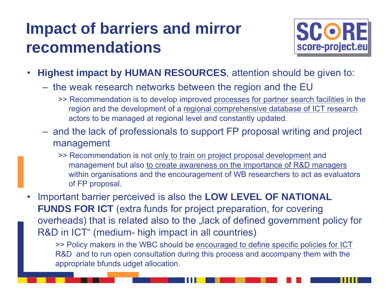#### **Impact of barriers and mirror recommendations**



- • **Highest impact by HUMAN RESOURCES**, attention should be given to:
	- $-$  the weak research networks between the region and the EU  $\,$ 
		- >> Recommendation is to develop improved processes for partner search facilities in the region and the development of a regional comprehensive database of ICT research actors to be managed at regional level and constantly updated.
	- $-$  and the lack of professionals to support FP proposal writing and project management
		- >> Recommendation is not only to train on project proposal development and management but also to create awareness on the importance of R&D managers within organisations and the encouragement of WB researchers to act as evaluators of FP proposal.

• Important barrier perceived is also the **LOW LEVEL OF NATIONAL FUNDS FOR ICT** (extra funds for project preparation, for covering overheads) that is related also to the "lack of defined government policy for R&D in ICT" (medium- high impact in all countries)

>> Policy makers in the WBC should be encouraged to define specific policies for ICT R&D and to run open consultation during this process and accompany them with the appropriate bfunds udget allocation.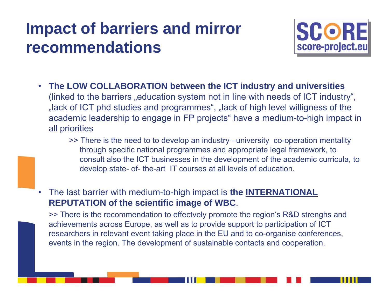#### **Impact of barriers and mirror recommendations**



- • **The LOW COLLABORATION between the ICT industry and universities**  (linked to the barriers "education system not in line with needs of ICT industry", "lack of ICT phd studies and programmes", "lack of high level willigness of the academic leadership to engage in FP projects" have a medium-to-high impact in all priorities
	- >> There is the need to to develop an industry –university co-operation mentality through specific national programmes and appropriate legal framework, to consult also the ICT businesses in the development of the academic curricula, to develop state- of- the-art IT courses at all levels of education.
- • The last barrier with medium-to-high impact is **the INTERNATIONAL REPUTATION of the scientific image of WBC**.

>> There is the recommendation to effectvely promote the region's R&D strenghs and achievements across Europe, as well as to provide support to participation of ICT researchers in relevant event taking place in the EU and to co-organise conferences, events in the region. The development of sustainable contacts and cooperation.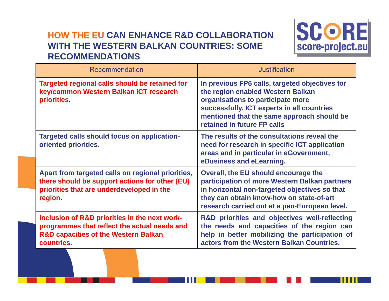#### **HOW THE EU CAN ENHANCE R&D COLLABORATION WITH THE WESTERN BALKAN COUNTRIES: SOME RECOMMENDATIONS**



| Recommendation                                                                                                                                                 | <b>Justification</b>                                                                                                                                                                                                                                |
|----------------------------------------------------------------------------------------------------------------------------------------------------------------|-----------------------------------------------------------------------------------------------------------------------------------------------------------------------------------------------------------------------------------------------------|
| Targeted regional calls should be retained for<br>key/common Western Balkan ICT research<br>priorities.                                                        | In previous FP6 calls, targeted objectives for<br>the region enabled Western Balkan<br>organisations to participate more<br>successfully. ICT experts in all countries<br>mentioned that the same approach should be<br>retained in future FP calls |
| <b>Targeted calls should focus on application-</b><br>oriented priorities.                                                                                     | The results of the consultations reveal the<br>need for research in specific ICT application<br>areas and in particular in eGovernment,<br>eBusiness and eLearning.                                                                                 |
| Apart from targeted calls on regional priorities,<br>there should be support actions for other (EU)<br>priorities that are underdeveloped in the<br>region.    | Overall, the EU should encourage the<br>participation of more Western Balkan partners<br>in horizontal non-targeted objectives so that<br>they can obtain know-how on state-of-art<br>research carried out at a pan-European level.                 |
| Inclusion of R&D priorities in the next work-<br>programmes that reflect the actual needs and<br><b>R&amp;D capacities of the Western Balkan</b><br>countries. | R&D priorities and objectives well-reflecting<br>the needs and capacities of the region can<br>help in better mobilizing the participation of<br>actors from the Western Balkan Countries.                                                          |

111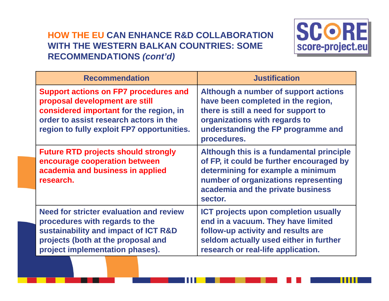#### **HOW THE EU CAN ENHANCE R&D COLLABORATION WITH THE WESTERN BALKAN COUNTRIES: SOME RECOMMENDATIONS** *(cont'd)*



| <b>Recommendation</b>                                                                                                                                                                                             | <b>Justification</b>                                                                                                                                                                                              |
|-------------------------------------------------------------------------------------------------------------------------------------------------------------------------------------------------------------------|-------------------------------------------------------------------------------------------------------------------------------------------------------------------------------------------------------------------|
| <b>Support actions on FP7 procedures and</b><br>proposal development are still<br>considered important for the region, in<br>order to assist research actors in the<br>region to fully exploit FP7 opportunities. | Although a number of support actions<br>have been completed in the region,<br>there is still a need for support to<br>organizations with regards to<br>understanding the FP programme and<br>procedures.          |
| <b>Future RTD projects should strongly</b><br>encourage cooperation between<br>academia and business in applied<br>research.                                                                                      | Although this is a fundamental principle<br>of FP, it could be further encouraged by<br>determining for example a minimum<br>number of organizations representing<br>academia and the private business<br>sector. |
| Need for stricter evaluation and review<br>procedures with regards to the<br>sustainability and impact of ICT R&D<br>projects (both at the proposal and<br>project implementation phases).                        | ICT projects upon completion usually<br>end in a vacuum. They have limited<br>follow-up activity and results are<br>seldom actually used either in further<br>research or real-life application.                  |

111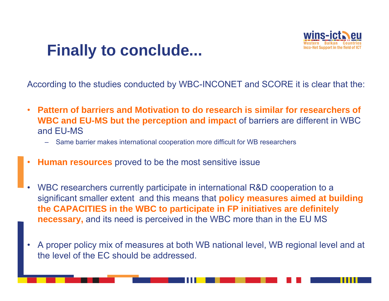#### **Finally to conclude...**



According to the studies conducted by WBC-INCONET and SCORE it is clear that the:

- • **Pattern of barriers and Motivation to do research is similar for researchers of WBC and EU-MS but the perception and impact** of barriers are different in WBC and EU-MS
	- Same barrier makes international cooperation more difficult for WB researchers
- •**Human resources** proved to be the most sensitive issue
- • WBC researchers currently participate in international R&D cooperation to a significant smaller extent and this means that **policy measures aimed at building the CAPACITIES in the WBC to participate in FP initiatives are definitely necessary,** and its need is perceived in the WBC more than in the EU MS
- • A proper policy mix of measures at both WB national level, WB regional level and at the level of the EC should be addressed.